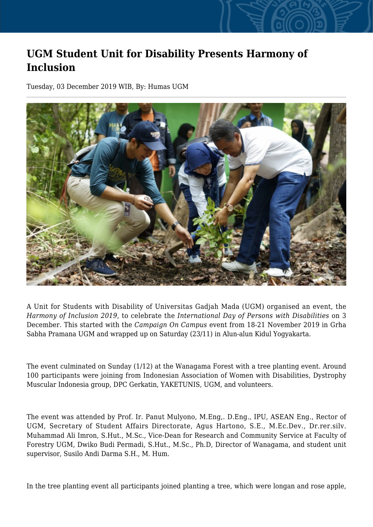## **UGM Student Unit for Disability Presents Harmony of Inclusion**

Tuesday, 03 December 2019 WIB, By: Humas UGM



A Unit for Students with Disability of Universitas Gadjah Mada (UGM) organised an event, the *Harmony of Inclusion 2019*, to celebrate the *International Day of Persons with Disabilities* on 3 December. This started with the *Campaign On Campus* event from 18-21 November 2019 in Grha Sabha Pramana UGM and wrapped up on Saturday (23/11) in Alun-alun Kidul Yogyakarta.

The event culminated on Sunday (1/12) at the Wanagama Forest with a tree planting event. Around 100 participants were joining from Indonesian Association of Women with Disabilities, Dystrophy Muscular Indonesia group, DPC Gerkatin, YAKETUNIS, UGM, and volunteers.

The event was attended by Prof. Ir. Panut Mulyono, M.Eng,. D.Eng., IPU, ASEAN Eng., Rector of UGM, Secretary of Student Affairs Directorate, Agus Hartono, S.E., M.Ec.Dev., Dr.rer.silv. Muhammad Ali Imron, S.Hut., M.Sc., Vice-Dean for Research and Community Service at Faculty of Forestry UGM, Dwiko Budi Permadi, S.Hut., M.Sc., Ph.D, Director of Wanagama, and student unit supervisor, Susilo Andi Darma S.H., M. Hum.

In the tree planting event all participants joined planting a tree, which were longan and rose apple,